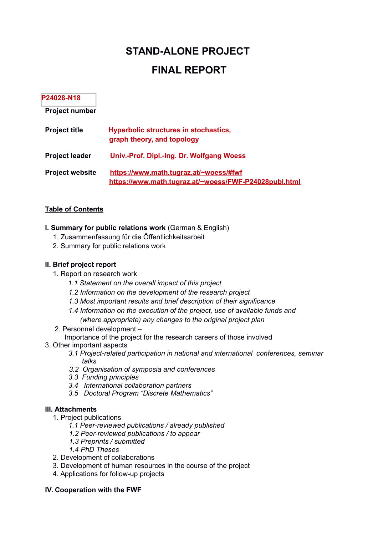# **STAND-ALONE PROJECT**

# **FINAL REPORT**

#### **P24028-N18**

**Project number**

| <b>Project title</b>   | <b>Hyperbolic structures in stochastics,</b><br>graph theory, and topology                      |
|------------------------|-------------------------------------------------------------------------------------------------|
| <b>Project leader</b>  | Univ.-Prof. Dipl.-Ing. Dr. Wolfgang Woess                                                       |
| <b>Project website</b> | https://www.math.tugraz.at/~woess/#fwf<br>https://www.math.tugraz.at/~woess/FWF-P24028publ.html |

#### **Table of Contents**

- **I. Summary for public relations work** (German & English)
	- 1. Zusammenfassung für die Öffentlichkeitsarbeit
	- 2. Summary for public relations work

#### **II. Brief project report**

- 1. Report on research work
	- *1.1 Statement on the overall impact of this project*
	- *1.2 Information on the development of the research project*
	- *1.3 Most important results and brief description of their significance*
	- *1.4 Information on the execution of the project, use of available funds and (where appropriate) any changes to the original project plan*
- 2. Personnel development –

Importance of the project for the research careers of those involved

- 3. Other important aspects
	- *3.1 Project-related participation in national and international conferences, seminar talks*
	- *3.2 Organisation of symposia and conferences*
	- *3.3 Funding principles*
	- *3.4 International collaboration partners*
	- *3.5 Doctoral Program "Discrete Mathematics"*

#### **III. Attachments**

- 1. Project publications
	- *1.1 Peer-reviewed publications / already published*
	- *1.2 Peer-reviewed publications / to appear*
	- *1.3 Preprints / submitted*
	- *1.4 PhD Theses*
- 2. Development of collaborations
- 3. Development of human resources in the course of the project
- 4. Applications for follow-up projects

#### **IV. Cooperation with the FWF**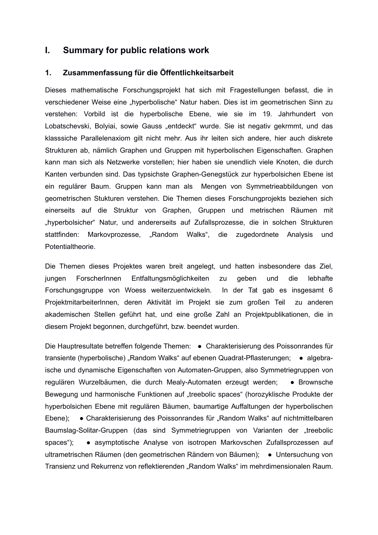# **I. Summary for public relations work**

#### **1. Zusammenfassung für die Öffentlichkeitsarbeit**

Dieses mathematische Forschungsprojekt hat sich mit Fragestellungen befasst, die in verschiedener Weise eine "hyperbolische" Natur haben. Dies ist im geometrischen Sinn zu verstehen: Vorbild ist die hyperbolische Ebene, wie sie im 19. Jahrhundert von Lobatschevski, Bolyiai, sowie Gauss "entdeckt" wurde. Sie ist negativ gekrmmt, und das klasssiche Parallelenaxiom gilt nicht mehr. Aus ihr leiten sich andere, hier auch diskrete Strukturen ab, nämlich Graphen und Gruppen mit hyperbolischen Eigenschaften. Graphen kann man sich als Netzwerke vorstellen; hier haben sie unendlich viele Knoten, die durch Kanten verbunden sind. Das typsichste Graphen-Genegstück zur hyperbolsichen Ebene ist ein regulärer Baum. Gruppen kann man als Mengen von Symmetrieabbildungen von geometrischen Stukturen verstehen. Die Themen dieses Forschungprojekts beziehen sich einerseits auf die Struktur von Graphen, Gruppen und metrischen Räumen mit "hyperbolsicher" Natur, und andererseits auf Zufallsprozesse, die in solchen Strukturen stattfinden: Markovprozesse, "Random Walks", die zugedordnete Analysis und Potentialtheorie.

Die Themen dieses Projektes waren breit angelegt, und hatten insbesondere das Ziel, jungen ForscherInnen Entfaltungsmöglichkeiten zu geben und die lebhafte Forschungsgruppe von Woess weiterzuentwickeln. In der Tat gab es insgesamt 6 ProjektmitarbeiterInnen, deren Aktivität im Projekt sie zum großen Teil zu anderen akademischen Stellen geführt hat, und eine große Zahl an Projektpublikationen, die in diesem Projekt begonnen, durchgeführt, bzw. beendet wurden.

Die Hauptresultate betreffen folgende Themen: ● Charakterisierung des Poissonrandes für transiente (hyperbolische) "Random Walks" auf ebenen Quadrat-Pflasterungen; • algebraische und dynamische Eigenschaften von Automaten-Gruppen, also Symmetriegruppen von regulären Wurzelbäumen, die durch Mealy-Automaten erzeugt werden; ● Brownsche Bewegung und harmonische Funktionen auf "treebolic spaces" (horozyklische Produkte der hyperbolsichen Ebene mit regulären Bäumen, baumartige Auffaltungen der hyperbolischen Ebene); • Charakterisierung des Poissonrandes für "Random Walks" auf nichtmittelbaren Baumslag-Solitar-Gruppen (das sind Symmetriegruppen von Varianten der "treebolic spaces"); ● asymptotische Analyse von isotropen Markovschen Zufallsprozessen auf ultrametrischen Räumen (den geometrischen Rändern von Bäumen); • Untersuchung von Transienz und Rekurrenz von reflektierenden "Random Walks" im mehrdimensionalen Raum.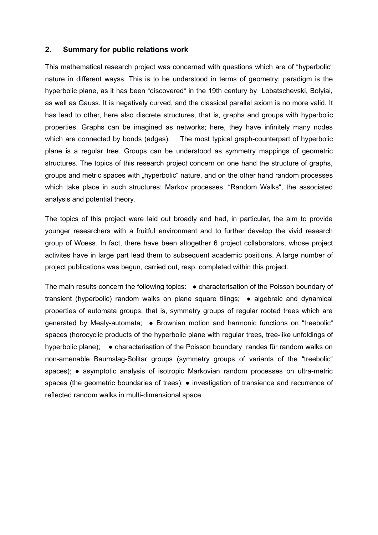#### **2. Summary for public relations work**

This mathematical research project was concerned with questions which are of "hyperbolic" nature in different wayss. This is to be understood in terms of geometry: paradigm is the hyperbolic plane, as it has been "discovered" in the 19th century by Lobatschevski, Bolyiai, as well as Gauss. It is negatively curved, and the classical parallel axiom is no more valid. It has lead to other, here also discrete structures, that is, graphs and groups with hyperbolic properties. Graphs can be imagined as networks; here, they have infinitely many nodes which are connected by bonds (edges). The most typical graph-counterpart of hyperbolic plane is a regular tree. Groups can be understood as symmetry mappings of geometric structures. The topics of this research project concern on one hand the structure of graphs, groups and metric spaces with "hyperbolic" nature, and on the other hand random processes which take place in such structures: Markov processes, "Random Walks", the associated analysis and potential theory.

The topics of this project were laid out broadly and had, in particular, the aim to provide younger researchers with a fruitful environment and to further develop the vivid research group of Woess. In fact, there have been altogether 6 project collaborators, whose project activites have in large part lead them to subsequent academic positions. A large number of project publications was begun, carried out, resp. completed within this project.

The main results concern the following topics: ● characterisation of the Poisson boundary of transient (hyperbolic) random walks on plane square tilings; • algebraic and dynamical properties of automata groups, that is, symmetry groups of regular rooted trees which are generated by Mealy-automata; • Brownian motion and harmonic functions on "treebolic" spaces (horocyclic products of the hyperbolic plane with regular trees, tree-like unfoldings of hyperbolic plane); • characterisation of the Poisson boundary randes für random walks on non-amenable Baumslag-Solitar groups (symmetry groups of variants of the "treebolic" spaces); • asymptotic analysis of isotropic Markovian random processes on ultra-metric spaces (the geometric boundaries of trees); • investigation of transience and recurrence of reflected random walks in multi-dimensional space.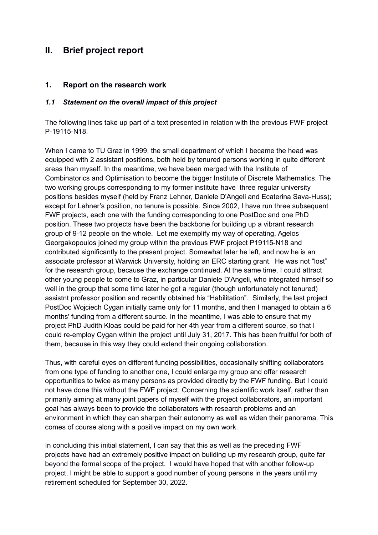# **II. Brief project report**

#### **1. Report on the research work**

#### *1.1 Statement on the overall impact of this project*

The following lines take up part of a text presented in relation with the previous FWF project P-19115-N18.

When I came to TU Graz in 1999, the small department of which I became the head was equipped with 2 assistant positions, both held by tenured persons working in quite different areas than myself. In the meantime, we have been merged with the Institute of Combinatorics and Optimisation to become the bigger Institute of Discrete Mathematics. The two working groups corresponding to my former institute have three regular university positions besides myself (held by Franz Lehner, Daniele D'Angeli and Ecaterina Sava-Huss); except for Lehner's position, no tenure is possible. Since 2002, I have run three subsequent FWF projects, each one with the funding corresponding to one PostDoc and one PhD position. These two projects have been the backbone for building up a vibrant research group of 9-12 people on the whole. Let me exemplify my way of operating. Agelos Georgakopoulos joined my group within the previous FWF project P19115-N18 and contributed significantly to the present project. Somewhat later he left, and now he is an associate professor at Warwick University, holding an ERC starting grant. He was not "lost" for the research group, because the exchange continued. At the same time, I could attract other young people to come to Graz, in particular Daniele D'Angeli, who integrated himself so well in the group that some time later he got a regular (though unfortunately not tenured) assistnt professor position and recently obtained his "Habilitation". Similarly, the last project PostDoc Wojciech Cygan initially came only for 11 months, and then I managed to obtain a 6 months' funding from a different source. In the meantime, I was able to ensure that my project PhD Judith Kloas could be paid for her 4th year from a different source, so that I could re-employ Cygan within the project until July 31, 2017. This has been fruitful for both of them, because in this way they could extend their ongoing collaboration.

Thus, with careful eyes on different funding possibilities, occasionally shifting collaborators from one type of funding to another one, I could enlarge my group and offer research opportunities to twice as many persons as provided directly by the FWF funding. But I could not have done this without the FWF project. Concerning the scientific work itself, rather than primarily aiming at many joint papers of myself with the project collaborators, an important goal has always been to provide the collaborators with research problems and an environment in which they can sharpen their autonomy as well as widen their panorama. This comes of course along with a positive impact on my own work.

In concluding this initial statement, I can say that this as well as the preceding FWF projects have had an extremely positive impact on building up my research group, quite far beyond the formal scope of the project. I would have hoped that with another follow-up project, I might be able to support a good number of young persons in the years until my retirement scheduled for September 30, 2022.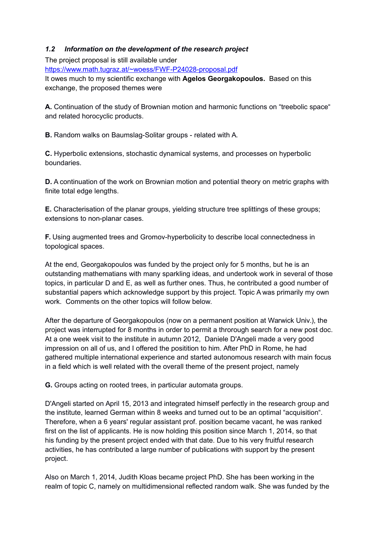#### *1.2 Information on the development of the research project*

The project proposal is still available under

https://www.math.tugraz.at/~woess/FWF-P24028-proposa[l.pdf](https://www.math.tugraz.at/~woess/folgeantrag.pdf)

It owes much to my scientific exchange with **Agelos Georgakopoulos.** Based on this exchange, the proposed themes were

**A.** Continuation of the study of Brownian motion and harmonic functions on "treebolic space" and related horocyclic products.

**B.** Random walks on Baumslag-Solitar groups - related with A.

**C.** Hyperbolic extensions, stochastic dynamical systems, and processes on hyperbolic boundaries.

**D.** A continuation of the work on Brownian motion and potential theory on metric graphs with finite total edge lengths.

**E.** Characterisation of the planar groups, yielding structure tree splittings of these groups; extensions to non-planar cases.

**F.** Using augmented trees and Gromov-hyperbolicity to describe local connectedness in topological spaces.

At the end, Georgakopoulos was funded by the project only for 5 months, but he is an outstanding mathematians with many sparkling ideas, and undertook work in several of those topics, in particular D and E, as well as further ones. Thus, he contributed a good number of substantial papers which acknowledge support by this project. Topic A was primarily my own work. Comments on the other topics will follow below.

After the departure of Georgakopoulos (now on a permanent position at Warwick Univ.), the project was interrupted for 8 months in order to permit a throrough search for a new post doc. At a one week visit to the institute in autumn 2012, Daniele D'Angeli made a very good impression on all of us, and I offered the positition to him. After PhD in Rome, he had gathered multiple international experience and started autonomous research with main focus in a field which is well related with the overall theme of the present project, namely

**G.** Groups acting on rooted trees, in particular automata groups.

D'Angeli started on April 15, 2013 and integrated himself perfectly in the research group and the institute, learned German within 8 weeks and turned out to be an optimal "acquisition". Therefore, when a 6 years' regular assistant prof. position became vacant, he was ranked first on the list of applicants. He is now holding this position since March 1, 2014, so that his funding by the present project ended with that date. Due to his very fruitful research activities, he has contributed a large number of publications with support by the present project.

Also on March 1, 2014, Judith Kloas became project PhD. She has been working in the realm of topic C, namely on multidimensional reflected random walk. She was funded by the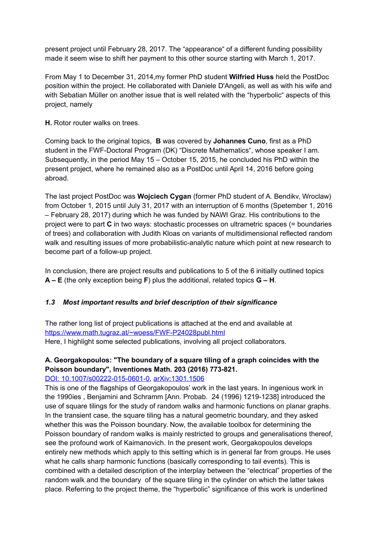present project until February 28, 2017. The "appearance" of a different funding possibility made it seem wise to shift her payment to this other source starting with March 1, 2017.

From May 1 to December 31, 2014,my former PhD student **Wilfried Huss** held the PostDoc position within the project. He collaborated with Daniele D'Angeli, as well as with his wife and with Sebatian Müller on another issue that is well related with the "hyperbolic" aspects of this project, namely

**H.** Rotor router walks on trees.

Coming back to the original topics, **B** was covered by **Johannes Cuno**, first as a PhD student in the FWF-Doctoral Program (DK) "Discrete Mathematics", whose speaker I am. Subsequently, in the period May 15 – October 15, 2015, he concluded his PhD within the present project, where he remained also as a PostDoc until April 14, 2016 before going abroad.

The last project PostDoc was **Wojciech Cygan** (former PhD student of A. Bendikv, Wroclaw) from October 1, 2015 until July 31, 2017 with an interruption of 6 months (Spetember 1, 2016 – February 28, 2017) during which he was funded by NAWI Graz. His contributions to the project were to part **C** in two ways: stochastic processes on ultrametric spaces (= boundaries of trees) and collaboration with Judith Kloas on variants of multidimensional reflected random walk and resulting issues of more probabilistic-analytic nature which point at new research to become part of a follow-up project.

In conclusion, there are project results and publications to 5 of the 6 initially outlined topics **A – E** (the only exception being **F**) plus the additional, related topics **G – H**.

# *1.3 Most important results and brief description of their significance*

The rather long list of project publications is attached at the end and available at <https://www.math.tugraz.at/~woess/FWF-P24028publ.html> Here, I highlight some selected publications, involving all project collaborators.

# **A. Georgakopoulos: "The boundary of a square tiling of a graph coincides with the Poisson boundary", Inventiones Math. 203 (2016) 773-821.**

[DOI: 10.1007/s00222-015-0601-0,](http://dx.doi.org/10.1007/s00222-015-0601-0) [arXiv:1301.1506](http://arxiv.org/abs/1301.1506)

This is one of the flagships of Georgakopoulos' work in the last years. In ingenious work in the 1990ies , Benjamini and Schramm [Ann. Probab. 24 (1996) 1219-1238] introduced the use of square tilings for the study of random walks and harmonic functions on planar graphs. In the transient case, the square tiling has a natural geometric boundary, and they asked whether this was the Poisson boundary. Now, the available toolbox for determining the Poisson boundary of random walks is mainly restricted to groups and generalisations thereof, see the profound work of Kaimanovich. In the present work, Georgakopoulos develops entirely new methods which apply to this setting which is in general far from groups. He uses what he calls sharp harmonic functions (basically corresponding to tail events). This is combined with a detailed description of the interplay between the "electrical" properties of the random walk and the boundary of the square tiling in the cylinder on which the latter takes place. Referring to the project theme, the "hyperbolic" significance of this work is underlined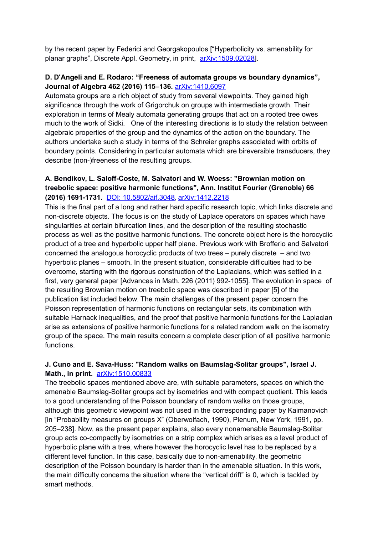by the recent paper by Federici and Georgakopoulos ["Hyperbolicity vs. amenability for planar graphs", Discrete Appl. Geometry, in print, arXiv:1509.02028].

#### **D. D'Angeli and E. Rodaro: "Freeness of automata groups vs boundary dynamics", Journal of Algebra 462 (2016) 115–136.** [arXiv:1410.6097](http://arxiv.org/abs/1410.6097)

Automata groups are a rich object of study from several viewpoints. They gained high significance through the work of Grigorchuk on groups with intermediate growth. Their exploration in terms of Mealy automata generating groups that act on a rooted tree owes much to the work of Sidki. One of the interesting directions is to study the relation between algebraic properties of the group and the dynamics of the action on the boundary. The authors undertake such a study in terms of the Schreier graphs associated with orbits of boundary points. Considering in particular automata which are bireversible transducers, they describe (non-)freeness of the resulting groups.

### **A. Bendikov, L. Saloff-Coste, M. Salvatori and W. Woess: "Brownian motion on treebolic space: positive harmonic functions", Ann. Institut Fourier (Grenoble) 66 (2016) 1691-1731.** [DOI: 10.5802/aif.3048](http://dx.doi.org/10.5802/aif.3048), [arXiv:1412.2218](http://arxiv.org/abs/1412.2218)

This is the final part of a long and rather hard specific research topic, which links discrete and non-discrete objects. The focus is on the study of Laplace operators on spaces which have singularities at certain bifurcation lines, and the description of the resulting stochastic process as well as the positive harmonic functions. The concrete object here is the horocyclic product of a tree and hyperbolic upper half plane. Previous work with Brofferio and Salvatori concerned the analogous horocyclic products of two trees – purely discrete – and two hyperbolic planes – smooth. In the present situation, considerable difficulties had to be overcome, starting with the rigorous construction of the Laplacians, which was settled in a first, very general paper [Advances in Math. 226 (2011) 992-1055]. The evolution in space of the resulting Brownian motion on treebolic space was described in paper [5] of the publication list included below. The main challenges of the present paper concern the Poisson representation of harmonic functions on rectangular sets, its combination with suitable Harnack inequalities, and the proof that positive harmonic functions for the Laplacian arise as extensions of positive harmonic functions for a related random walk on the isometry group of the space. The main results concern a complete description of all positive harmonic functions.

#### **J. Cuno and E. Sava-Huss: "Random walks on Baumslag-Solitar groups", Israel J. Math., in print.** [arXiv:1510.00833](http://arxiv.org/abs/1510.00833)

The treebolic spaces mentioned above are, with suitable parameters, spaces on which the amenable Baumslag-Solitar groups act by isometries and with compact quotient. This leads to a good understanding of the Poisson boundary of random walks on those groups, although this geometric viewpoint was not used in the corresponding paper by Kaimanovich [in "Probability measures on groups X" (Oberwolfach, 1990), Plenum, New York, 1991, pp. 205–238]. Now, as the present paper explains, also every nonamenable Baumslag-Solitar group acts co-compactly by isometries on a strip complex which arises as a level product of hyperbolic plane with a tree, where however the horocyclic level has to be replaced by a different level function. In this case, basically due to non-amenability, the geometric description of the Poisson boundary is harder than in the amenable situation. In this work, the main difficulty concerns the situation where the "vertical drift" is 0, which is tackled by smart methods.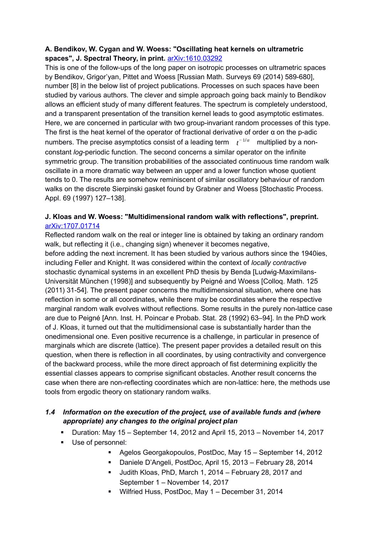## **A. Bendikov, W. Cygan and W. Woess: "Oscillating heat kernels on ultrametric spaces", J. Spectral Theory, in print.** [arXiv:1610.03292](http://arxiv.org/abs/arXiv:1610.03292)

This is one of the follow-ups of the long paper on isotropic processes on ultrametric spaces by Bendikov, Grigor'yan, Pittet and Woess [Russian Math. Surveys 69 (2014) 589-680], number [8] in the below list of project publications. Processes on such spaces have been studied by various authors. The clever and simple approach going back mainly to Bendikov allows an efficient study of many different features. The spectrum is completely understood, and a transparent presentation of the transition kernel leads to good asymptotic estimates. Here, we are concerned in particular with two group-invariant random processes of this type. The first is the heat kernel of the operator of fractional derivative of order  $\alpha$  on the p-adic numbers. The precise asymptotics consist of a leading term  $\quad t^{-1/\alpha}$  multiplied by a nonconstant *log*-periodic function. The second concerns a similar operator on the infinite symmetric group. The transition probabilities of the associated continuous time random walk oscillate in a more dramatic way between an upper and a lower function whose quotient tends to 0. The results are somehow reminiscent of similar oscillatory behaviour of random walks on the discrete Sierpinski gasket found by Grabner and Woess [Stochastic Process. Appl. 69 (1997) 127–138].

### **J. Kloas and W. Woess: "Multidimensional random walk with reflections", preprint.** [arXiv:1707.01714](http://arxiv.org/abs/arXiv:1707.01714)

Reflected random walk on the real or integer line is obtained by taking an ordinary random walk, but reflecting it (i.e., changing sign) whenever it becomes negative, before adding the next increment. It has been studied by various authors since the 1940ies, including Feller and Knight. It was considered within the context of *locally contractive*  stochastic dynamical systems in an excellent PhD thesis by Benda [Ludwig-Maximilans-Universität München (1998)] and subsequently by Peigné and Woess [Colloq. Math. 125 (2011) 31-54]. The present paper concerns the multidimensional situation, where one has reflection in some or all coordinates, while there may be coordinates where the respective marginal random walk evolves without reflections. Some results in the purely non-lattice case are due to Peigné [Ann. Inst. H. Poincar e Probab. Stat. 28 (1992) 63–94]. In the PhD work of J. Kloas, it turned out that the multidimensional case is substantially harder than the onedimensional one. Even positive recurrence is a challenge, in particular in presence of marginals which are discrete (lattice). The present paper provides a detailed result on this question, when there is reflection in all coordinates, by using contractivity and convergence of the backward process, while the more direct approach of fist determining explicitly the essential classes appears to comprise significant obstacles. Another result concerns the case when there are non-reflecting coordinates which are non-lattice: here, the methods use tools from ergodic theory on stationary random walks.

### *1.4 Information on the execution of the project, use of available funds and (where appropriate) any changes to the original project plan*

- Duration: May 15 September 14, 2012 and April 15, 2013 November 14, 2017
- Use of personnel:
	- Agelos Georgakopoulos, PostDoc, May 15 September 14, 2012
	- Daniele D'Angeli, PostDoc, April 15, 2013 February 28, 2014
	- Judith Kloas, PhD, March 1, 2014 February 28, 2017 and September 1 – November 14, 2017
	- Wilfried Huss, PostDoc, May 1 December 31, 2014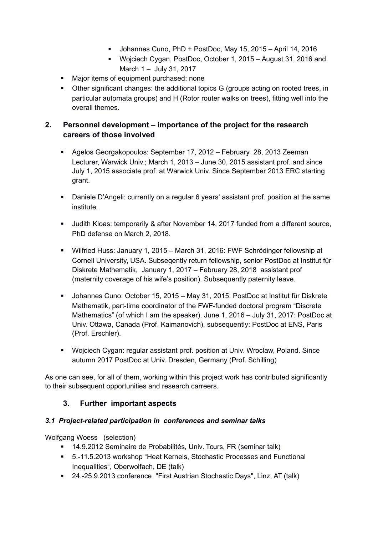- Johannes Cuno, PhD + PostDoc, May 15, 2015 April 14, 2016
- Wojciech Cygan, PostDoc, October 1, 2015 August 31, 2016 and March 1 – July 31, 2017
- **Major items of equipment purchased: none**
- Other significant changes: the additional topics G (groups acting on rooted trees, in particular automata groups) and H (Rotor router walks on trees), fitting well into the overall themes.

# **2. Personnel development – importance of the project for the research careers of those involved**

- Agelos Georgakopoulos: September 17, 2012 February 28, 2013 Zeeman Lecturer, Warwick Univ.; March 1, 2013 – June 30, 2015 assistant prof. and since July 1, 2015 associate prof. at Warwick Univ. Since September 2013 ERC starting grant.
- Daniele D'Angeli: currently on a regular 6 years' assistant prof. position at the same institute.
- Judith Kloas: temporarily & after November 14, 2017 funded from a different source, PhD defense on March 2, 2018.
- Wilfried Huss: January 1, 2015 March 31, 2016: FWF Schrödinger fellowship at Cornell University, USA. Subseqently return fellowship, senior PostDoc at Institut für Diskrete Mathematik, January 1, 2017 – February 28, 2018 assistant prof (maternity coverage of his wife's position). Subsequently paternity leave.
- Johannes Cuno: October 15, 2015 May 31, 2015: PostDoc at Institut für Diskrete Mathematik, part-time coordinator of the FWF-funded doctoral program "Discrete Mathematics" (of which I am the speaker). June 1, 2016 – July 31, 2017: PostDoc at Univ. Ottawa, Canada (Prof. Kaimanovich), subsequently: PostDoc at ENS, Paris (Prof. Erschler).
- Wojciech Cygan: regular assistant prof. position at Univ. Wroclaw, Poland. Since autumn 2017 PostDoc at Univ. Dresden, Germany (Prof. Schilling)

As one can see, for all of them, working within this project work has contributed significantly to their subsequent opportunities and research carreers.

# **3. Further important aspects**

#### *3.1 Project-related participation in conferences and seminar talks*

Wolfgang Woess (selection)

- 14.9.2012 Seminaire de Probabilités, Univ. Tours, FR (seminar talk)
- 5.-11.5.2013 workshop "Heat Kernels, Stochastic Processes and Functional Inequalities", Oberwolfach, DE (talk)
- 24.-25.9.2013 conference "First Austrian Stochastic Days", Linz, AT (talk)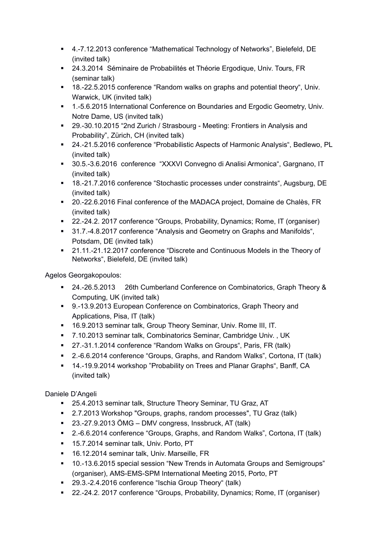- 4.-7.12.2013 conference "Mathematical Technology of Networks", Bielefeld, DE (invited talk)
- 24.3.2014 Séminaire de Probabilités et Théorie Ergodique, Univ. Tours, FR (seminar talk)
- 18.-22.5.2015 conference "Random walks on graphs and potential theory", Univ. Warwick, UK (invited talk)
- 1.-5.6.2015 International Conference on Boundaries and Ergodic Geometry, Univ. Notre Dame, US (invited talk)
- 29.-30.10.2015 "2nd Zurich / Strasbourg Meeting: Frontiers in Analysis and Probability", Zürich, CH (invited talk)
- 24.-21.5.2016 conference "Probabilistic Aspects of Harmonic Analysis", Bedlewo, PL (invited talk)
- 30.5.-3.6.2016 conference "XXXVI Convegno di Analisi Armonica", Gargnano, IT (invited talk)
- 18.-21.7.2016 conference "Stochastic processes under constraints", Augsburg, DE (invited talk)
- <sup>20</sup>.-22.6.2016 Final conference of the MADACA project, Domaine de Chalès, FR (invited talk)
- 22.-24.2. 2017 conference "Groups, Probability, Dynamics; Rome, IT (organiser)
- 31.7.-4.8.2017 conference "Analysis and Geometry on Graphs and Manifolds", Potsdam, DE (invited talk)
- 21.11.-21.12.2017 conference "Discrete and Continuous Models in the Theory of Networks", Bielefeld, DE (invited talk)

Agelos Georgakopoulos:

- 24.-26.5.2013 26th Cumberland Conference on Combinatorics, Graph Theory & Computing, UK (invited talk)
- 9.-13.9.2013 European Conference on Combinatorics, Graph Theory and Applications, Pisa, IT (talk)
- 16.9.2013 seminar talk, Group Theory Seminar, Univ. Rome III, IT.
- 7.10.2013 seminar talk, Combinatorics Seminar, Cambridge Univ. , UK
- 27.-31.1.2014 conference "Random Walks on Groups", Paris, FR (talk)
- 2.-6.6.2014 conference "Groups, Graphs, and Random Walks", Cortona, IT (talk)
- 14.-19.9.2014 workshop "Probability on Trees and Planar Graphs", Banff, CA (invited talk)

Daniele D'Angeli

- 25.4.2013 seminar talk, Structure Theory Seminar, TU Graz, AT
- 2.7.2013 Workshop "Groups, graphs, random processes", TU Graz (talk)
- 23.-27.9.2013 ÖMG DMV congress, Inssbruck, AT (talk)
- 2.-6.6.2014 conference "Groups, Graphs, and Random Walks", Cortona, IT (talk)
- 15.7.2014 seminar talk, Univ. Porto, PT
- 16.12.2014 seminar talk, Univ. Marseille, FR
- 10.-13.6.2015 special session "New Trends in Automata Groups and Semigroups" (organiser), AMS-EMS-SPM International Meeting 2015, Porto, PT
- 29.3.-2.4.2016 conference "Ischia Group Theory" (talk)
- 22.-24.2. 2017 conference "Groups, Probability, Dynamics; Rome, IT (organiser)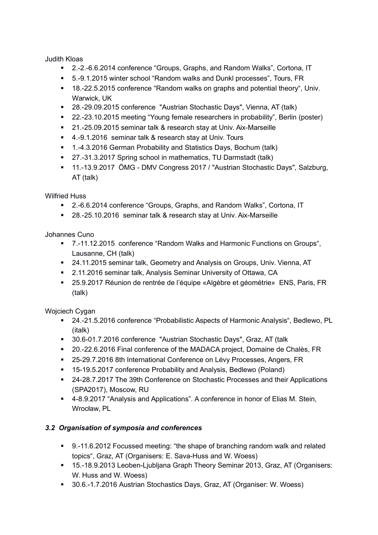Judith Kloas

- 2.-2.-6.6.2014 conference "Groups, Graphs, and Random Walks", Cortona, IT
- 5.-9.1.2015 winter school "Random walks and Dunkl processes", Tours, FR
- 18.-22.5.2015 conference "Random walks on graphs and potential theory", Univ. Warwick, UK
- 28.-29.09.2015 conference "Austrian Stochastic Days", Vienna, AT (talk)
- 22.-23.10.2015 meeting "Young female researchers in probability", Berlin (poster)
- 21.-25.09.2015 seminar talk & research stay at Univ. Aix-Marseille
- 4.-9.1.2016 seminar talk & research stay at Univ. Tours
- 1.-4.3.2016 German Probability and Statistics Days, Bochum (talk)
- 27.-31.3.2017 Spring school in mathematics, TU Darmstadt (talk)
- 11.-13.9.2017 ÖMG DMV Congress 2017 / "Austrian Stochastic Days", Salzburg, AT (talk)

Wilfried Huss

- 2.-6.6.2014 conference "Groups, Graphs, and Random Walks", Cortona, IT
- 28.-25.10.2016 seminar talk & research stay at Univ. Aix-Marseille

Johannes Cuno

- 7.-11.12.2015 conference "Random Walks and Harmonic Functions on Groups", Lausanne, CH (talk)
- 24.11.2015 seminar talk, Geometry and Analysis on Groups, Univ. Vienna, AT
- 2.11.2016 seminar talk, Analysis Seminar University of Ottawa, CA
- 25.9.2017 Réunion de rentrée de l'équipe «Algèbre et géométrie» ENS, Paris, FR (talk)

Woiciech Cygan

- 24.-21.5.2016 conference "Probabilistic Aspects of Harmonic Analysis", Bedlewo, PL (italk)
- 30.6-01.7.2016 conference "Austrian Stochastic Days", Graz, AT (talk
- 20.-22.6.2016 Final conference of the MADACA project, Domaine de Chalès, FR
- 25-29.7.2016 8th International Conference on Lévy Processes, Angers, FR
- 15-19.5.2017 conference Probability and Analysis, Bedlewo (Poland)
- 24-28.7.2017 The 39th Conference on Stochastic Processes and their Applications (SPA2017), Moscow, RU
- 4-8.9.2017 "Analysis and Applications". A conference in honor of Elias M. Stein, Wrocław, PL

#### *3.2 Organisation of symposia and conferences*

- 9.-11.6.2012 Focussed meeting: "the shape of branching random walk and related topics", Graz, AT (Organisers: E. Sava-Huss and W. Woess)
- 15.-18.9.2013 Leoben-Ljubljana Graph Theory Seminar 2013, Graz, AT (Organisers: W. Huss and W. Woess)
- 30.6.-1.7.2016 Austrian Stochastics Days, Graz, AT (Organiser: W. Woess)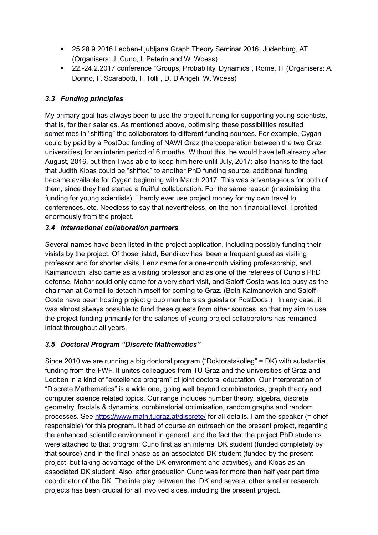- 25.28.9.2016 Leoben-Ljubljana Graph Theory Seminar 2016, Judenburg, AT (Organisers: J. Cuno, I. Peterin and W. Woess)
- 22.-24.2.2017 conference "Groups, Probability, Dynamics", Rome, IT (Organisers: A. Donno, F. Scarabotti, F. Tolli , D. D'Angeli, W. Woess)

# *3.3 Funding principles*

My primary goal has always been to use the project funding for supporting young scientists, that is, for their salaries. As mentioned above, optimising these possibilities resulted sometimes in "shifting" the collaborators to different funding sources. For example, Cygan could by paid by a PostDoc funding of NAWI Graz (the cooperation between the two Graz universities) for an interim period of 6 months. Without this, he would have left already after August, 2016, but then I was able to keep him here until July, 2017: also thanks to the fact that Judith Kloas could be "shifted" to another PhD funding source, additional funding became available for Cygan beginning with March 2017. This was advantageous for both of them, since they had started a fruitful collaboration. For the same reason (maximising the funding for young scientists), I hardly ever use project money for my own travel to conferences, etc. Needless to say that nevertheless, on the non-financial level, I profited enormously from the project.

# *3.4 International collaboration partners*

Several names have been listed in the project application, including possibly funding their visists by the project. Of those listed, Bendikov has been a frequent guest as visiting professor and for shorter visits, Lenz came for a one-month visiting professorship, and Kaimanovich also came as a visiting professor and as one of the referees of Cuno's PhD defense. Mohar could only come for a very short visit, and Saloff-Coste was too busy as the chairman at Cornell to detach himself for coming to Graz. (Both Kaimanovich and Saloff-Coste have been hosting project group members as guests or PostDocs.) In any case, it was almost always possible to fund these guests from other sources, so that my aim to use the project funding primarily for the salaries of young project collaborators has remained intact throughout all years.

# *3.5 Doctoral Program "Discrete Mathematics"*

Since 2010 we are running a big doctoral program ("Doktoratskolleg" = DK) with substantial funding from the FWF. It unites colleagues from TU Graz and the universities of Graz and Leoben in a kind of "excellence program" of joint doctoral eductation. Our interpretation of "Discrete Mathematics" is a wide one, going well beyond combinatorics, graph theory and computer science related topics. Our range includes number theory, algebra, discrete geometry, fractals & dynamics, combinatorial optimisation, random graphs and random processes. See<https://www.math.tugraz.at/discrete/>for all details. I am the speaker (= chief responsible) for this program. It had of course an outreach on the present project, regarding the enhanced scientific environment in general, and the fact that the project PhD students were attached to that program: Cuno first as an internal DK student (funded completely by that source) and in the final phase as an associated DK student (funded by the present project, but taking advantage of the DK environment and activities), and Kloas as an associated DK student. Also, after graduation Cuno was for more than half year part time coordinator of the DK. The interplay between the DK and several other smaller research projects has been crucial for all involved sides, including the present project.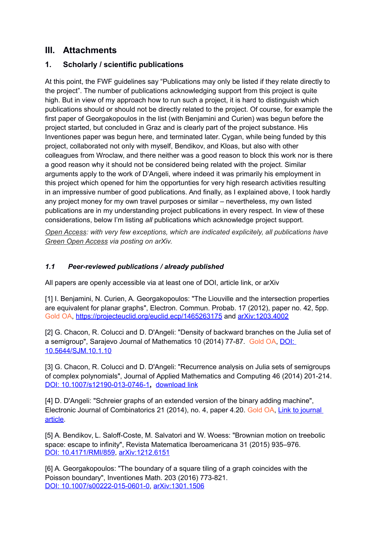# **III. Attachments**

# **1. Scholarly / scientific publications**

At this point, the FWF guidelines say "Publications may only be listed if they relate directly to the project". The number of publications acknowledging support from this project is quite high. But in view of my approach how to run such a project, it is hard to distinguish which publications should or should not be directly related to the project. Of course, for example the first paper of Georgakopoulos in the list (with Benjamini and Curien) was begun before the project started, but concluded in Graz and is clearly part of the project substance. His Inventiones paper was begun here, and terminated later. Cygan, while being funded by this project, collaborated not only with myself, Bendikov, and Kloas, but also with other colleagues from Wroclaw, and there neither was a good reason to block this work nor is there a good reason why it should not be considered being related with the project. Similar arguments apply to the work of D'Angeli, where indeed it was primarily his employment in this project which opened for him the opportunties for very high research activities resulting in an impressive number of good publications. And finally, as I explained above, I took hardly any project money for my own travel purposes or similar – nevertheless, my own listed publications are in my understanding project publications in every respect. In view of these considerations, below I'm listing *all* publications which acknowledge project support.

*Open Access: with very few exceptions, which are indicated explicitely, all publications have Green Open Access via posting on arXiv.*

# *1.1 Peer-reviewed publications / already published*

All papers are openly accessible via at least one of DOI, article link, or arXiv

[1] I. Benjamini, N. Curien, A. Georgakopoulos: "The Liouville and the intersection properties are equivalent for planar graphs", Electron. Commun. Probab. 17 (2012), paper no. 42, 5pp. Gold OA,<https://projecteuclid.org/euclid.ecp/1465263175>and [arXiv:1203.4002](http://arxiv.org/abs/1203.4002)

[2] G. Chacon, R. Colucci and D. D'Angeli: "Density of backward branches on the Julia set of a semigroup", Sarajevo Journal of Mathematics 10 (2014) 77-87. Gold OA, [DOI:](http://dx.doi.org/10.5644/SJM.10.1.10)  [10.5644/SJM.10.1.10](http://dx.doi.org/10.5644/SJM.10.1.10)

[3] G. Chacon, R. Colucci and D. D'Angeli: "Recurrence analysis on Julia sets of semigroups of complex polynomials", Journal of Applied Mathematics and Computing 46 (2014) 201-214. [DOI: 10.1007/s12190-013-0746-1](http://dx.doi.org/10.1007/s12190-013-0746-1)**,** [download link](https://dokumen.tips/download/link/recurrence-analysis-on-julia-sets-of-semigroups-of-complex-polynomials)

[4] D. D'Angeli: "Schreier graphs of an extended version of the binary adding machine", Electronic Journal of Combinatorics 21 (2014), no. 4, paper 4.20. Gold OA, [Link to journal](http://www.combinatorics.org/ojs/index.php/eljc/article/view/v21i4p20)  [article.](http://www.combinatorics.org/ojs/index.php/eljc/article/view/v21i4p20)

[5] A. Bendikov, L. Saloff-Coste, M. Salvatori and W. Woess: "Brownian motion on treebolic space: escape to infinity", Revista Matematica Iberoamericana 31 (2015) 935–976. [DOI: 10.4171/RMI/859,](http://dx.doi.org/10.4171/RMI/859) [arXiv:1212.6151](http://arxiv.org/abs/1212.6151)

[6] A. Georgakopoulos: "The boundary of a square tiling of a graph coincides with the Poisson boundary", Inventiones Math. 203 (2016) 773-821. [DOI: 10.1007/s00222-015-0601-0,](http://dx.doi.org/10.1007/s00222-015-0601-0) [arXiv:1301.1506](http://arxiv.org/abs/1301.1506)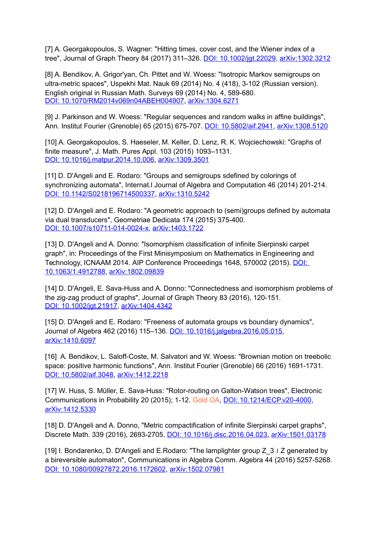[7] A. Georgakopoulos, S. Wagner: "Hitting times, cover cost, and the Wiener index of a tree", Journal of Graph Theory 84 (2017) 311–326. [DOI: 10.1002/jgt.22029,](http://dx.doi.org/10.1002/jgt.22029) [arXiv:1302.3212](http://arxiv.org/abs/1302.3212)

[8] A. Bendikov, A. Grigor'yan, Ch. Pittet and W. Woess: "Isotropic Markov semigroups on ultra-metric spaces", Uspekhi Mat. Nauk 69 (2014) No. 4 (418), 3-102 (Russian version). English original in Russian Math. Surveys 69 (2014) No. 4, 589-680. [DOI: 10.1070/RM2014v069n04ABEH004907,](http://dx.doi.org/10.1070/RM2014v069n04ABEH004907) [arXiv:1304.6271](http://arxiv.org/abs/1304.6271)

[9] J. Parkinson and W. Woess: "Regular sequences and random walks in affine buildings", Ann. Institut Fourier (Grenoble) 65 (2015) 675-707. [DOI: 10.5802/aif.2941,](http://dx.doi.org/10.5802/aif.2941) [arXiv:1308.5120](http://arxiv.org/abs/1308.5120)

[10] A. Georgakopoulos, S. Haeseler, M. Keller, D. Lenz, R. K. Wojciechowski: "Graphs of finite measure", J. Math. Pures Appl. 103 (2015) 1093–1131. [DOI: 10.1016/j.matpur.2014.10.006,](https://doi.org/10.1016/j.matpur.2014.10.006) [arXiv:1309.3501](http://arxiv.org/abs/1309.3501)

[11] D. D'Angeli and E. Rodaro: "Groups and semigroups sdefined by colorings of synchronizing automata", Internat.l Journal of Algebra and Computation 46 (2014) 201-214. [DOI: 10.1142/S0218196714500337,](https://doi.org/10.1142/S0218196714500337) [arXiv:1310.5242](http://arxiv.org/abs/1310.5242)

[12] D. D'Angeli and E. Rodaro: "A geometric approach to (semi)groups defined by automata via dual transducers", Geometriae Dedicata 174 (2015) 375-400. [DOI: 10.1007/s10711-014-0024-x,](http://dx.doi.org/10.1007/s10711-014-0024-x) [arXiv:1403.1722](http://arxiv.org/abs/1403.1722)

[13] D. D'Angeli and A. Donno: "Isomorphism classification of infinite Sierpinski carpet graph", in: Proceedings of the First Minisymposium on Mathematics in Engineering and Technology, ICNAAM 2014. AIP Conference Proceedings 1648, 570002 (2015). [DOI:](http://aip.scitation.org/doi/abs/10.1063/1.4912788)  [10.1063/1.4912788,](http://aip.scitation.org/doi/abs/10.1063/1.4912788) [arXiv:1802.09839](http://front.math.ucdavis.edu/1802.09839)

[14] D. D'Angeli, E. Sava-Huss and A. Donno: "Connectedness and isomorphism problems of the zig-zag product of graphs", Journal of Graph Theory 83 (2016), 120-151. [DOI: 10.1002/jgt.21917,](http://dx.doi.org/10.1002/jgt.21917) [arXiv:1404.4342](http://arxiv.org/abs/1404.4342)

[15] D. D'Angeli and E. Rodaro: "Freeness of automata groups vs boundary dynamics", Journal of Algebra 462 (2016) 115–136. [DOI: 10.1016/j.jalgebra.2016.05.015,](https://doi.org/10.1016/j.jalgebra.2016.05.015) [arXiv:1410.6097](http://arxiv.org/abs/1410.6097)

[16] A. Bendikov, L. Saloff-Coste, M. Salvatori and W. Woess: "Brownian motion on treebolic space: positive harmonic functions", Ann. Institut Fourier (Grenoble) 66 (2016) 1691-1731. [DOI: 10.5802/aif.3048,](http://dx.doi.org/10.5802/aif.3048) [arXiv:1412.2218](http://arxiv.org/abs/1412.2218)

[17] W. Huss, S. Müller, E. Sava-Huss: "Rotor-routing on Galton-Watson trees", Electronic Communications in Probability 20 (2015); 1-12. Gold OA, [DOI: 10.1214/ECP.v20-4000,](http://dx.doi.org/10.1214/ECP.v20-4000) [arXiv:1412.5330](http://arxiv.org/abs/1412.5330)

[18] D. D'Angeli and A. Donno, "Metric compactification of infinite Sierpinski carpet graphs", Discrete Math. 339 (2016), 2693-2705. [DOI: 10.1016/j.disc.2016.04.023,](https://doi.org/10.1016/j.disc.2016.04.023) [arXiv:1501.03178](http://arxiv.org/abs/arXiv:1501.03178)

[19] I. Bondarenko, D. D'Angeli and E.Rodaro: "The lamplighter group Z\_3 ≀ Z generated by a bireversible automaton", Communications in Algebra Comm. Algebra 44 (2016) 5257-5268. [DOI: 10.1080/00927872.2016.1172602,](http://dx.doi.org/10.1080/00927872.2016.1172602) [arXiv:1502.07981](http://arxiv.org/abs/1502.07981)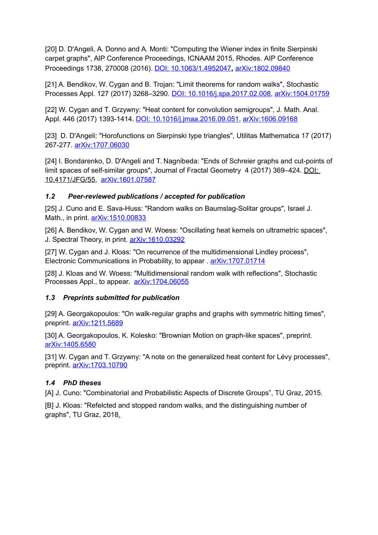[20] D. D'Angeli, A. Donno and A. Monti: "Computing the Wiener index in finite Sierpinski carpet graphs", AIP Conference Proceedings, ICNAAM 2015, Rhodes. AIP Conference Proceedings 1738, 270008 (2016). [DOI: 10.1063/1.4952047](http://aip.scitation.org/doi/abs/10.1063/1.4952047)**,** [arXiv:1802.09840](http://front.math.ucdavis.edu/1802.09840)

[21] A. Bendikov, W. Cygan and B. Trojan: "Limit theorems for random walks", Stochastic Processes Appl. 127 (2017) 3268–3290. [DOI: 10.1016/j.spa.2017.02.008,](https://doi.org/10.1016/j.spa.2017.02.008) [arXiv:1504.01759](http://arxiv.org/abs/arXiv:1504.01759)

[22] W. Cygan and T. Grzywny: "Heat content for convolution semigroups", J. Math. Anal. Appl. 446 (2017) 1393-1414. [DOI: 10.1016/j.jmaa.2016.09.051,](https://doi.org/10.1016/j.jmaa.2016.09.051) [arXiv:1606.09168](http://arxiv.org/abs/arXiv:1606.09168)

[23] D. D'Angeli: "Horofunctions on Sierpinski type triangles", Utilitas Mathematica 17 (2017) 267-277. [arXiv:1707.06030](http://front.math.ucdavis.edu/1707.06030)

[24] I. Bondarenko, D. D'Angeli and T. Nagnibeda: "Ends of Schreier graphs and cut-points of limit spaces of self-similar groups", Journal of Fractal Geometry 4 (2017) 369–424. [DOI:](http://www.ems-ph.org/doi/10.4171/JFG/55)  [10.4171/JFG/55,](http://www.ems-ph.org/doi/10.4171/JFG/55) [arXiv:1601.07587](http://arxiv.org/abs/arXiv:1601.07587)

#### *1.2 Peer-reviewed publications / accepted for publication*

[25] J. Cuno and E. Sava-Huss: "Random walks on Baumslag-Solitar groups", Israel J. Math., in print. arXiv: 1510.00833

[26] A. Bendikov, W. Cygan and W. Woess: "Oscillating heat kernels on ultrametric spaces", J. Spectral Theory, in print. arXiv: 1610.03292

[27] W. Cygan and J. Kloas: "On recurrence of the multidimensional Lindley process", Electronic Communications in Probability, to appear . [arXiv:1707.01714](http://arxiv.org/abs/arXiv:1707.01714)

[28] J. Kloas and W. Woess: "Multidimensional random walk with reflections", Stochastic Processes Appl., to appear. [arXiv:1704.06055](http://arxiv.org/abs/arXiv:1704.06055)

#### *1.3 Preprints submitted for publication*

[29] A. Georgakopoulos: "On walk-regular graphs and graphs with symmetric hitting times", preprint. arXiv:1211.5689

[30] A. Georgakopoulos, K. Kolesko: "Brownian Motion on graph-like spaces", preprint. [arXiv:1405.6580](http://arxiv.org/abs/1405.6580)

[31] W. Cygan and T. Grzywny: "A note on the generalized heat content for Lévy processes", preprint. [arXiv:1703.10790](http://arxiv.org/abs/arXiv:1703.10790) 

# *1.4 PhD theses*

[A] J. Cuno: "Combinatorial and Probabilistic Aspects of Discrete Groups", TU Graz, 2015.

[B] J. Kloas: "Refelcted and stopped random walks, and the distinguishing number of graphs", TU Graz, 2018.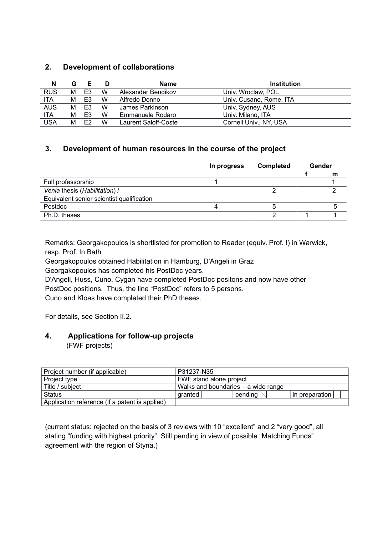## **2. Development of collaborations**

| N          | G | Е  | D | Name                 | <b>Institution</b>      |
|------------|---|----|---|----------------------|-------------------------|
| <b>RUS</b> | м | E3 | W | Alexander Bendikov   | Univ. Wroclaw, POL      |
| <b>ITA</b> | м | F3 | W | Alfredo Donno        | Univ. Cusano, Rome, ITA |
| <b>AUS</b> | м | E3 | W | James Parkinson      | Univ. Sydney, AUS       |
| <b>ITA</b> | м | E3 | W | Emmanuele Rodaro     | Univ. Milano. ITA       |
| USA        | м | F2 | w | Laurent Saloff-Coste | Cornell Univ., NY, USA  |

### **3. Development of human resources in the course of the project**

|                                           | <b>Completed</b><br>In progress |  | Gender |   |
|-------------------------------------------|---------------------------------|--|--------|---|
|                                           |                                 |  |        | m |
| Full professorship                        |                                 |  |        |   |
| Venia thesis (Habilitation) /             |                                 |  |        |   |
| Equivalent senior scientist qualification |                                 |  |        |   |
| Postdoc                                   |                                 |  |        |   |
| Ph.D. theses                              |                                 |  |        |   |

Remarks: Georgakopoulos is shortlisted for promotion to Reader (equiv. Prof. !) in Warwick, resp. Prof. In Bath

Georgakopoulos obtained Habilitation in Hamburg, D'Angeli in Graz

Georgakopoulos has completed his PostDoc years.

D'Angeli, Huss, Cuno, Cygan have completed PostDoc positons and now have other

PostDoc positions. Thus, the line "PostDoc" refers to 5 persons.

Cuno and Kloas have completed their PhD theses.

For details, see Section II.2.

#### **4. Applications for follow-up projects**

(FWF projects)

| Project number (if applicable)                 | P31237-N35                          |         |                |
|------------------------------------------------|-------------------------------------|---------|----------------|
| Project type                                   | FWF stand alone project             |         |                |
| Title / subject                                | Walks and boundaries – a wide range |         |                |
| <b>Status</b>                                  | granted                             | pending | In preparation |
| Application reference (if a patent is applied) |                                     |         |                |

(current status: rejected on the basis of 3 reviews with 10 "excellent" and 2 "very good", all stating "funding with highest priority". Still pending in view of possible "Matching Funds" agreement with the region of Styria.)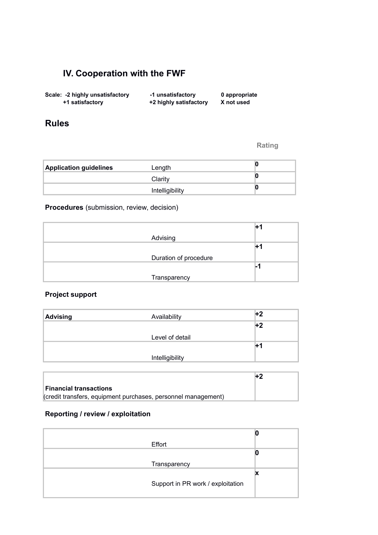# **IV. Cooperation with the FWF**

| Scale: -2 highly unsatisfactory | -1 unsatisfactory      | 0 appropriate |
|---------------------------------|------------------------|---------------|
| +1 satisfactory                 | +2 highly satisfactory | X not used    |

# **Rules**

**Rating**

| <b>Application guidelines</b> | Length          |  |
|-------------------------------|-----------------|--|
|                               | Clarity         |  |
|                               | Intelligibility |  |

**Procedures** (submission, review, decision)

| Advising              |  |
|-----------------------|--|
|                       |  |
| Duration of procedure |  |
|                       |  |
| Transparency          |  |

# **Project support**

| <b>Advising</b> | Availability    | +2  |
|-----------------|-----------------|-----|
|                 |                 | )+2 |
|                 | Level of detail |     |
|                 |                 | œ   |
|                 | Intelligibility |     |

|                                                               | Η2 |
|---------------------------------------------------------------|----|
| <b>Financial transactions</b>                                 |    |
| (credit transfers, equipment purchases, personnel management) |    |

# **Reporting / review / exploitation**

| Effort                            |  |
|-----------------------------------|--|
|                                   |  |
| Transparency                      |  |
|                                   |  |
| Support in PR work / exploitation |  |
|                                   |  |